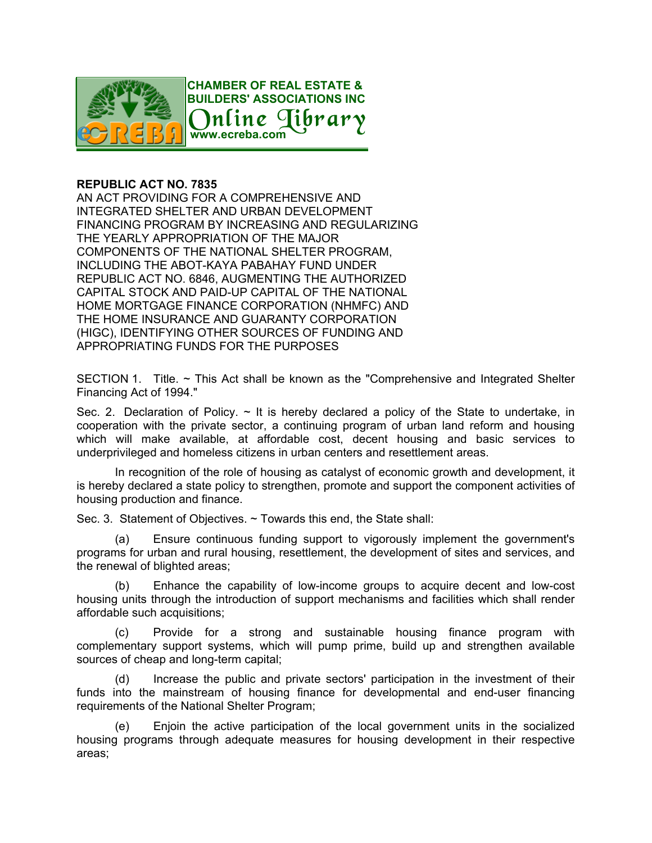

## **REPUBLIC ACT NO. 7835**

AN ACT PROVIDING FOR A COMPREHENSIVE AND INTEGRATED SHELTER AND URBAN DEVELOPMENT FINANCING PROGRAM BY INCREASING AND REGULARIZING THE YEARLY APPROPRIATION OF THE MAJOR COMPONENTS OF THE NATIONAL SHELTER PROGRAM, INCLUDING THE ABOT-KAYA PABAHAY FUND UNDER REPUBLIC ACT NO. 6846, AUGMENTING THE AUTHORIZED CAPITAL STOCK AND PAID-UP CAPITAL OF THE NATIONAL HOME MORTGAGE FINANCE CORPORATION (NHMFC) AND THE HOME INSURANCE AND GUARANTY CORPORATION (HIGC), IDENTIFYING OTHER SOURCES OF FUNDING AND APPROPRIATING FUNDS FOR THE PURPOSES

SECTION 1. Title. ~ This Act shall be known as the "Comprehensive and Integrated Shelter Financing Act of 1994."

ihra<sub>1</sub>

Sec. 2. Declaration of Policy.  $\sim$  It is hereby declared a policy of the State to undertake, in cooperation with the private sector, a continuing program of urban land reform and housing which will make available, at affordable cost, decent housing and basic services to underprivileged and homeless citizens in urban centers and resettlement areas.

In recognition of the role of housing as catalyst of economic growth and development, it is hereby declared a state policy to strengthen, promote and support the component activities of housing production and finance.

Sec. 3. Statement of Objectives. ~ Towards this end, the State shall:

(a) Ensure continuous funding support to vigorously implement the government's programs for urban and rural housing, resettlement, the development of sites and services, and the renewal of blighted areas;

(b) Enhance the capability of low-income groups to acquire decent and low-cost housing units through the introduction of support mechanisms and facilities which shall render affordable such acquisitions;

(c) Provide for a strong and sustainable housing finance program with complementary support systems, which will pump prime, build up and strengthen available sources of cheap and long-term capital;

(d) Increase the public and private sectors' participation in the investment of their funds into the mainstream of housing finance for developmental and end-user financing requirements of the National Shelter Program;

(e) Enjoin the active participation of the local government units in the socialized housing programs through adequate measures for housing development in their respective areas;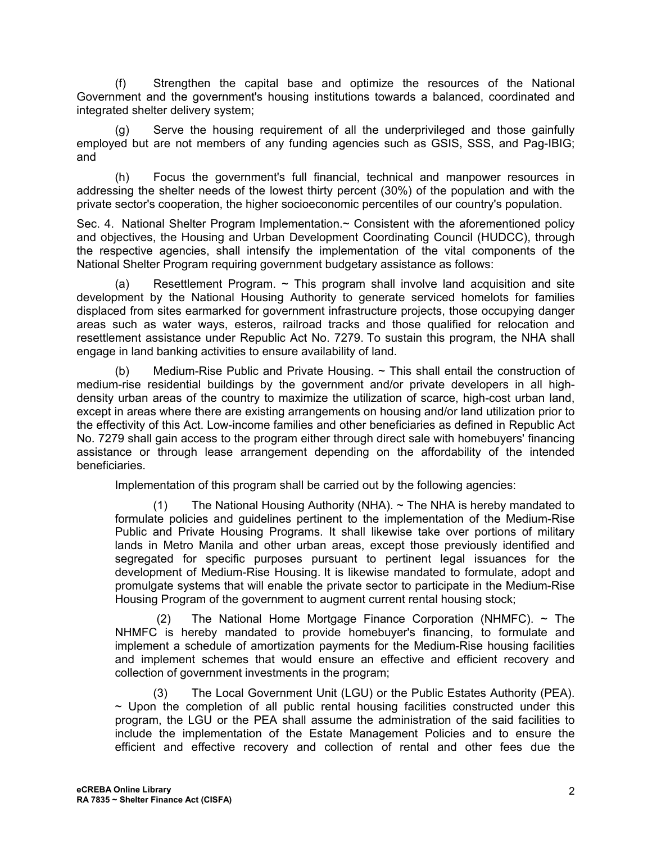(f) Strengthen the capital base and optimize the resources of the National Government and the government's housing institutions towards a balanced, coordinated and integrated shelter delivery system;

(g) Serve the housing requirement of all the underprivileged and those gainfully employed but are not members of any funding agencies such as GSIS, SSS, and Pag-IBIG; and

(h) Focus the government's full financial, technical and manpower resources in addressing the shelter needs of the lowest thirty percent (30%) of the population and with the private sector's cooperation, the higher socioeconomic percentiles of our country's population.

Sec. 4. National Shelter Program Implementation.~ Consistent with the aforementioned policy and objectives, the Housing and Urban Development Coordinating Council (HUDCC), through the respective agencies, shall intensify the implementation of the vital components of the National Shelter Program requiring government budgetary assistance as follows:

(a) Resettlement Program.  $\sim$  This program shall involve land acquisition and site development by the National Housing Authority to generate serviced homelots for families displaced from sites earmarked for government infrastructure projects, those occupying danger areas such as water ways, esteros, railroad tracks and those qualified for relocation and resettlement assistance under Republic Act No. 7279. To sustain this program, the NHA shall engage in land banking activities to ensure availability of land.

(b) Medium-Rise Public and Private Housing. ~ This shall entail the construction of medium-rise residential buildings by the government and/or private developers in all highdensity urban areas of the country to maximize the utilization of scarce, high-cost urban land, except in areas where there are existing arrangements on housing and/or land utilization prior to the effectivity of this Act. Low-income families and other beneficiaries as defined in Republic Act No. 7279 shall gain access to the program either through direct sale with homebuyers' financing assistance or through lease arrangement depending on the affordability of the intended beneficiaries.

Implementation of this program shall be carried out by the following agencies:

(1) The National Housing Authority (NHA). ~ The NHA is hereby mandated to formulate policies and guidelines pertinent to the implementation of the Medium-Rise Public and Private Housing Programs. It shall likewise take over portions of military lands in Metro Manila and other urban areas, except those previously identified and segregated for specific purposes pursuant to pertinent legal issuances for the development of Medium-Rise Housing. It is likewise mandated to formulate, adopt and promulgate systems that will enable the private sector to participate in the Medium-Rise Housing Program of the government to augment current rental housing stock;

(2) The National Home Mortgage Finance Corporation (NHMFC).  $\sim$  The NHMFC is hereby mandated to provide homebuyer's financing, to formulate and implement a schedule of amortization payments for the Medium-Rise housing facilities and implement schemes that would ensure an effective and efficient recovery and collection of government investments in the program;

(3) The Local Government Unit (LGU) or the Public Estates Authority (PEA).  $\sim$  Upon the completion of all public rental housing facilities constructed under this program, the LGU or the PEA shall assume the administration of the said facilities to include the implementation of the Estate Management Policies and to ensure the efficient and effective recovery and collection of rental and other fees due the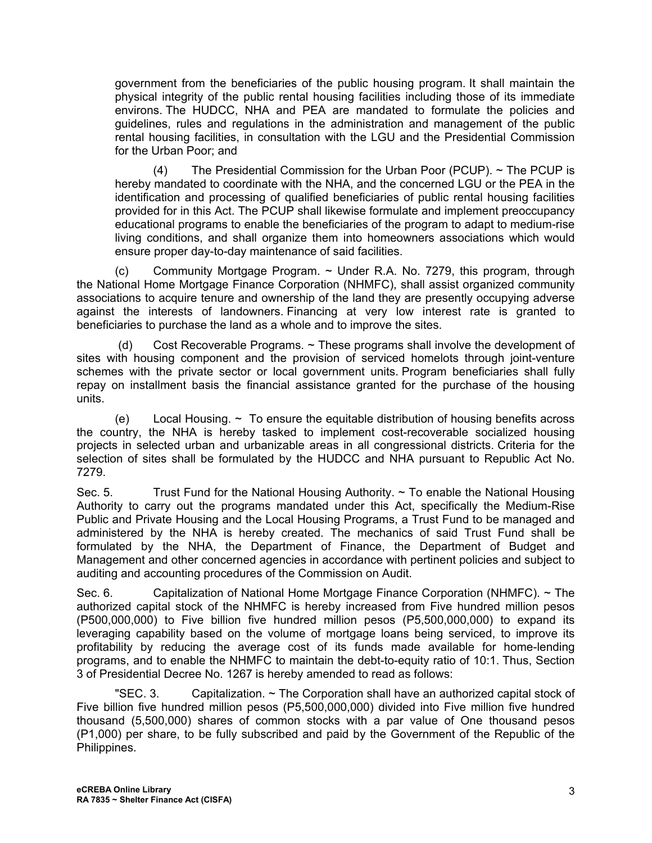government from the beneficiaries of the public housing program. It shall maintain the physical integrity of the public rental housing facilities including those of its immediate environs. The HUDCC, NHA and PEA are mandated to formulate the policies and guidelines, rules and regulations in the administration and management of the public rental housing facilities, in consultation with the LGU and the Presidential Commission for the Urban Poor; and

(4) The Presidential Commission for the Urban Poor (PCUP). ~ The PCUP is hereby mandated to coordinate with the NHA, and the concerned LGU or the PEA in the identification and processing of qualified beneficiaries of public rental housing facilities provided for in this Act. The PCUP shall likewise formulate and implement preoccupancy educational programs to enable the beneficiaries of the program to adapt to medium-rise living conditions, and shall organize them into homeowners associations which would ensure proper day-to-day maintenance of said facilities.

(c) Community Mortgage Program.  $\sim$  Under R.A. No. 7279, this program, through the National Home Mortgage Finance Corporation (NHMFC), shall assist organized community associations to acquire tenure and ownership of the land they are presently occupying adverse against the interests of landowners. Financing at very low interest rate is granted to beneficiaries to purchase the land as a whole and to improve the sites.

(d) Cost Recoverable Programs. ~ These programs shall involve the development of sites with housing component and the provision of serviced homelots through joint-venture schemes with the private sector or local government units. Program beneficiaries shall fully repay on installment basis the financial assistance granted for the purchase of the housing units.

(e) Local Housing.  $\sim$  To ensure the equitable distribution of housing benefits across the country, the NHA is hereby tasked to implement cost-recoverable socialized housing projects in selected urban and urbanizable areas in all congressional districts. Criteria for the selection of sites shall be formulated by the HUDCC and NHA pursuant to Republic Act No. 7279.

Sec. 5. Trust Fund for the National Housing Authority.  $\sim$  To enable the National Housing Authority to carry out the programs mandated under this Act, specifically the Medium-Rise Public and Private Housing and the Local Housing Programs, a Trust Fund to be managed and administered by the NHA is hereby created. The mechanics of said Trust Fund shall be formulated by the NHA, the Department of Finance, the Department of Budget and Management and other concerned agencies in accordance with pertinent policies and subject to auditing and accounting procedures of the Commission on Audit.

Sec. 6. Capitalization of National Home Mortgage Finance Corporation (NHMFC).  $\sim$  The authorized capital stock of the NHMFC is hereby increased from Five hundred million pesos (P500,000,000) to Five billion five hundred million pesos (P5,500,000,000) to expand its leveraging capability based on the volume of mortgage loans being serviced, to improve its profitability by reducing the average cost of its funds made available for home-lending programs, and to enable the NHMFC to maintain the debt-to-equity ratio of 10:1. Thus, Section 3 of Presidential Decree No. 1267 is hereby amended to read as follows:

"SEC. 3. Capitalization.  $\sim$  The Corporation shall have an authorized capital stock of Five billion five hundred million pesos (P5,500,000,000) divided into Five million five hundred thousand (5,500,000) shares of common stocks with a par value of One thousand pesos (P1,000) per share, to be fully subscribed and paid by the Government of the Republic of the Philippines.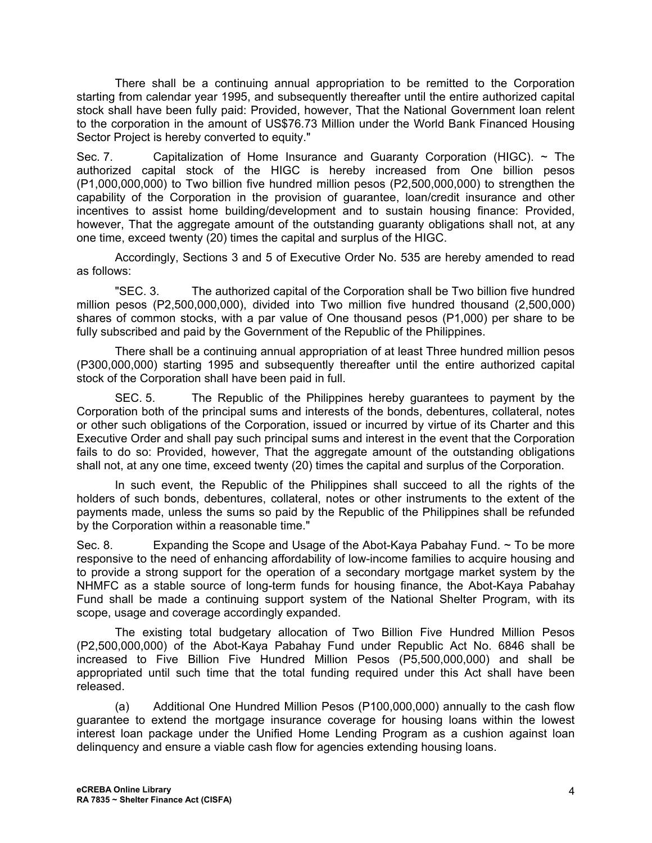There shall be a continuing annual appropriation to be remitted to the Corporation starting from calendar year 1995, and subsequently thereafter until the entire authorized capital stock shall have been fully paid: Provided, however, That the National Government loan relent to the corporation in the amount of US\$76.73 Million under the World Bank Financed Housing Sector Project is hereby converted to equity."

Sec. 7. Capitalization of Home Insurance and Guaranty Corporation (HIGC). ~ The authorized capital stock of the HIGC is hereby increased from One billion pesos (P1,000,000,000) to Two billion five hundred million pesos (P2,500,000,000) to strengthen the capability of the Corporation in the provision of guarantee, loan/credit insurance and other incentives to assist home building/development and to sustain housing finance: Provided, however, That the aggregate amount of the outstanding guaranty obligations shall not, at any one time, exceed twenty (20) times the capital and surplus of the HIGC.

Accordingly, Sections 3 and 5 of Executive Order No. 535 are hereby amended to read as follows:

"SEC. 3. The authorized capital of the Corporation shall be Two billion five hundred million pesos (P2,500,000,000), divided into Two million five hundred thousand (2,500,000) shares of common stocks, with a par value of One thousand pesos (P1,000) per share to be fully subscribed and paid by the Government of the Republic of the Philippines.

There shall be a continuing annual appropriation of at least Three hundred million pesos (P300,000,000) starting 1995 and subsequently thereafter until the entire authorized capital stock of the Corporation shall have been paid in full.

SEC. 5. The Republic of the Philippines hereby guarantees to payment by the Corporation both of the principal sums and interests of the bonds, debentures, collateral, notes or other such obligations of the Corporation, issued or incurred by virtue of its Charter and this Executive Order and shall pay such principal sums and interest in the event that the Corporation fails to do so: Provided, however, That the aggregate amount of the outstanding obligations shall not, at any one time, exceed twenty (20) times the capital and surplus of the Corporation.

In such event, the Republic of the Philippines shall succeed to all the rights of the holders of such bonds, debentures, collateral, notes or other instruments to the extent of the payments made, unless the sums so paid by the Republic of the Philippines shall be refunded by the Corporation within a reasonable time."

Sec. 8. Expanding the Scope and Usage of the Abot-Kava Pabahav Fund. ~ To be more responsive to the need of enhancing affordability of low-income families to acquire housing and to provide a strong support for the operation of a secondary mortgage market system by the NHMFC as a stable source of long-term funds for housing finance, the Abot-Kaya Pabahay Fund shall be made a continuing support system of the National Shelter Program, with its scope, usage and coverage accordingly expanded.

The existing total budgetary allocation of Two Billion Five Hundred Million Pesos (P2,500,000,000) of the Abot-Kaya Pabahay Fund under Republic Act No. 6846 shall be increased to Five Billion Five Hundred Million Pesos (P5,500,000,000) and shall be appropriated until such time that the total funding required under this Act shall have been released.

(a) Additional One Hundred Million Pesos (P100,000,000) annually to the cash flow guarantee to extend the mortgage insurance coverage for housing loans within the lowest interest loan package under the Unified Home Lending Program as a cushion against loan delinquency and ensure a viable cash flow for agencies extending housing loans.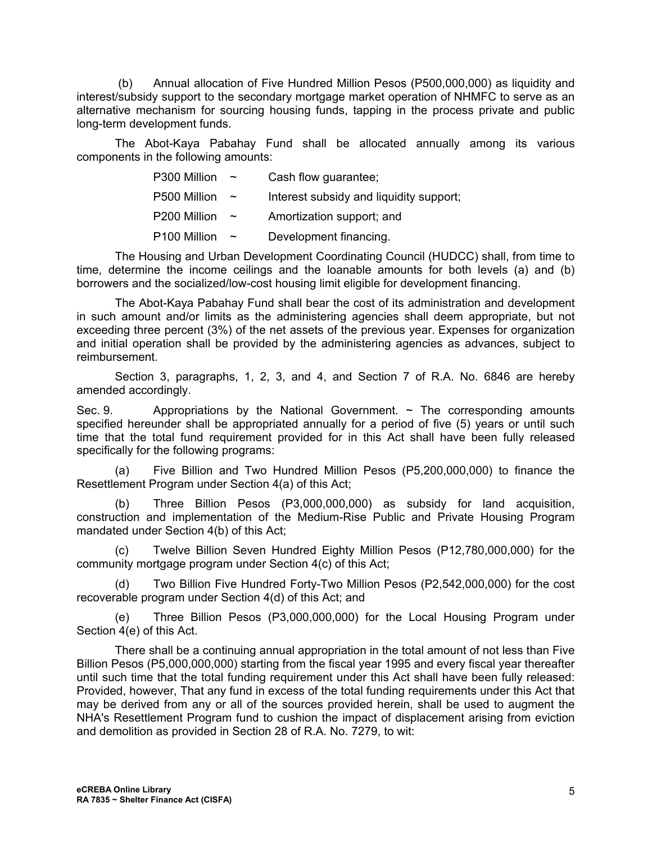(b) Annual allocation of Five Hundred Million Pesos (P500,000,000) as liquidity and interest/subsidy support to the secondary mortgage market operation of NHMFC to serve as an alternative mechanism for sourcing housing funds, tapping in the process private and public long-term development funds.

The Abot-Kaya Pabahay Fund shall be allocated annually among its various components in the following amounts:

| P300 Million | $\tilde{\phantom{a}}$ | Cash flow guarantee;                    |
|--------------|-----------------------|-----------------------------------------|
| P500 Million | $\tilde{\phantom{a}}$ | Interest subsidy and liquidity support; |
| P200 Million | $\tilde{\phantom{a}}$ | Amortization support; and               |
| P100 Million | $\tilde{\phantom{a}}$ | Development financing.                  |

The Housing and Urban Development Coordinating Council (HUDCC) shall, from time to time, determine the income ceilings and the loanable amounts for both levels (a) and (b) borrowers and the socialized/low-cost housing limit eligible for development financing.

The Abot-Kaya Pabahay Fund shall bear the cost of its administration and development in such amount and/or limits as the administering agencies shall deem appropriate, but not exceeding three percent (3%) of the net assets of the previous year. Expenses for organization and initial operation shall be provided by the administering agencies as advances, subject to reimbursement.

Section 3, paragraphs, 1, 2, 3, and 4, and Section 7 of R.A. No. 6846 are hereby amended accordingly.

Sec. 9. Appropriations by the National Government.  $\sim$  The corresponding amounts specified hereunder shall be appropriated annually for a period of five (5) years or until such time that the total fund requirement provided for in this Act shall have been fully released specifically for the following programs:

(a) Five Billion and Two Hundred Million Pesos (P5,200,000,000) to finance the Resettlement Program under Section 4(a) of this Act;

(b) Three Billion Pesos (P3,000,000,000) as subsidy for land acquisition, construction and implementation of the Medium-Rise Public and Private Housing Program mandated under Section 4(b) of this Act;

(c) Twelve Billion Seven Hundred Eighty Million Pesos (P12,780,000,000) for the community mortgage program under Section 4(c) of this Act;

(d) Two Billion Five Hundred Forty-Two Million Pesos (P2,542,000,000) for the cost recoverable program under Section 4(d) of this Act; and

(e) Three Billion Pesos (P3,000,000,000) for the Local Housing Program under Section 4(e) of this Act.

There shall be a continuing annual appropriation in the total amount of not less than Five Billion Pesos (P5,000,000,000) starting from the fiscal year 1995 and every fiscal year thereafter until such time that the total funding requirement under this Act shall have been fully released: Provided, however, That any fund in excess of the total funding requirements under this Act that may be derived from any or all of the sources provided herein, shall be used to augment the NHA's Resettlement Program fund to cushion the impact of displacement arising from eviction and demolition as provided in Section 28 of R.A. No. 7279, to wit: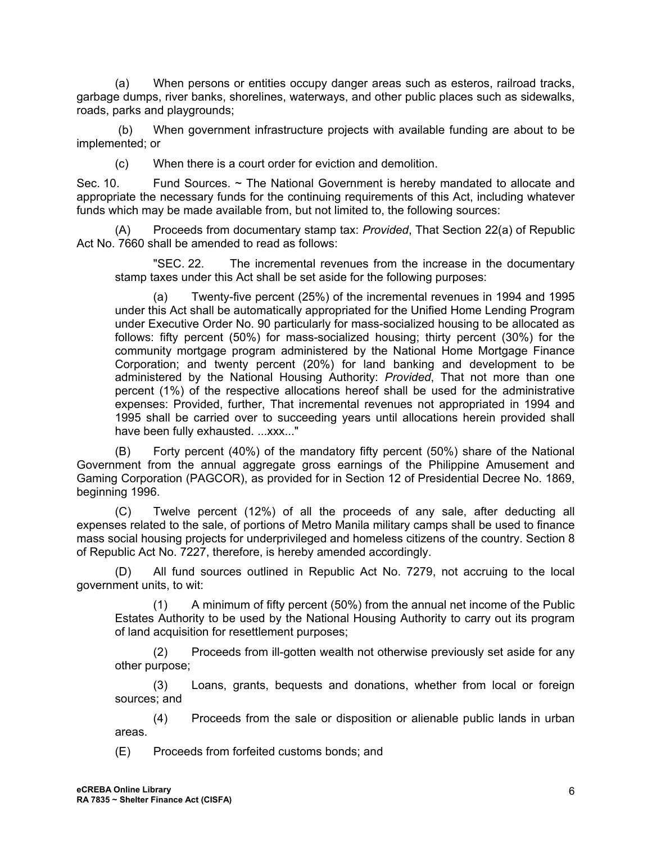(a) When persons or entities occupy danger areas such as esteros, railroad tracks, garbage dumps, river banks, shorelines, waterways, and other public places such as sidewalks, roads, parks and playgrounds;

(b) When government infrastructure projects with available funding are about to be implemented; or

(c) When there is a court order for eviction and demolition.

Sec. 10. Fund Sources. ~ The National Government is hereby mandated to allocate and appropriate the necessary funds for the continuing requirements of this Act, including whatever funds which may be made available from, but not limited to, the following sources:

(A) Proceeds from documentary stamp tax: *Provided*, That Section 22(a) of Republic Act No. 7660 shall be amended to read as follows:

"SEC. 22. The incremental revenues from the increase in the documentary stamp taxes under this Act shall be set aside for the following purposes:

(a) Twenty-five percent (25%) of the incremental revenues in 1994 and 1995 under this Act shall be automatically appropriated for the Unified Home Lending Program under Executive Order No. 90 particularly for mass-socialized housing to be allocated as follows: fifty percent (50%) for mass-socialized housing; thirty percent (30%) for the community mortgage program administered by the National Home Mortgage Finance Corporation; and twenty percent (20%) for land banking and development to be administered by the National Housing Authority: *Provided*, That not more than one percent (1%) of the respective allocations hereof shall be used for the administrative expenses: Provided, further, That incremental revenues not appropriated in 1994 and 1995 shall be carried over to succeeding years until allocations herein provided shall have been fully exhausted. ...xxx..."

(B) Forty percent (40%) of the mandatory fifty percent (50%) share of the National Government from the annual aggregate gross earnings of the Philippine Amusement and Gaming Corporation (PAGCOR), as provided for in Section 12 of Presidential Decree No. 1869, beginning 1996.

(C) Twelve percent (12%) of all the proceeds of any sale, after deducting all expenses related to the sale, of portions of Metro Manila military camps shall be used to finance mass social housing projects for underprivileged and homeless citizens of the country. Section 8 of Republic Act No. 7227, therefore, is hereby amended accordingly.

(D) All fund sources outlined in Republic Act No. 7279, not accruing to the local government units, to wit:

(1) A minimum of fifty percent (50%) from the annual net income of the Public Estates Authority to be used by the National Housing Authority to carry out its program of land acquisition for resettlement purposes;

(2) Proceeds from ill-gotten wealth not otherwise previously set aside for any other purpose;

(3) Loans, grants, bequests and donations, whether from local or foreign sources; and

(4) Proceeds from the sale or disposition or alienable public lands in urban areas.

(E) Proceeds from forfeited customs bonds; and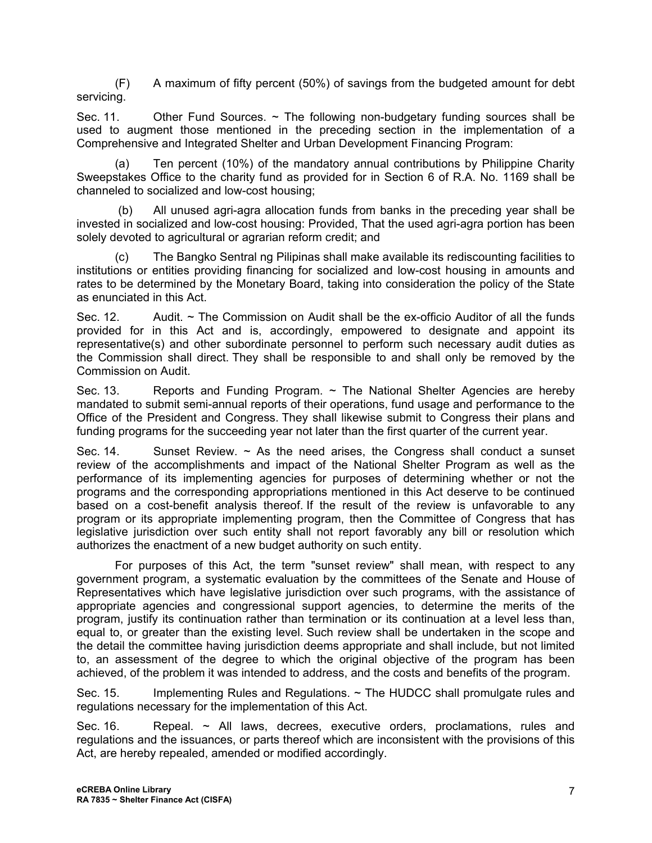(F) A maximum of fifty percent (50%) of savings from the budgeted amount for debt servicing.

Sec. 11. Other Fund Sources.  $\sim$  The following non-budgetary funding sources shall be used to augment those mentioned in the preceding section in the implementation of a Comprehensive and Integrated Shelter and Urban Development Financing Program:

(a) Ten percent (10%) of the mandatory annual contributions by Philippine Charity Sweepstakes Office to the charity fund as provided for in Section 6 of R.A. No. 1169 shall be channeled to socialized and low-cost housing;

(b) All unused agri-agra allocation funds from banks in the preceding year shall be invested in socialized and low-cost housing: Provided, That the used agri-agra portion has been solely devoted to agricultural or agrarian reform credit; and

(c) The Bangko Sentral ng Pilipinas shall make available its rediscounting facilities to institutions or entities providing financing for socialized and low-cost housing in amounts and rates to be determined by the Monetary Board, taking into consideration the policy of the State as enunciated in this Act.

Sec. 12. Audit.  $\sim$  The Commission on Audit shall be the ex-officio Auditor of all the funds provided for in this Act and is, accordingly, empowered to designate and appoint its representative(s) and other subordinate personnel to perform such necessary audit duties as the Commission shall direct. They shall be responsible to and shall only be removed by the Commission on Audit.

Sec. 13. Reports and Funding Program.  $\sim$  The National Shelter Agencies are hereby mandated to submit semi-annual reports of their operations, fund usage and performance to the Office of the President and Congress. They shall likewise submit to Congress their plans and funding programs for the succeeding year not later than the first quarter of the current year.

Sec. 14. Sunset Review.  $\sim$  As the need arises, the Congress shall conduct a sunset review of the accomplishments and impact of the National Shelter Program as well as the performance of its implementing agencies for purposes of determining whether or not the programs and the corresponding appropriations mentioned in this Act deserve to be continued based on a cost-benefit analysis thereof. If the result of the review is unfavorable to any program or its appropriate implementing program, then the Committee of Congress that has legislative jurisdiction over such entity shall not report favorably any bill or resolution which authorizes the enactment of a new budget authority on such entity.

For purposes of this Act, the term "sunset review" shall mean, with respect to any government program, a systematic evaluation by the committees of the Senate and House of Representatives which have legislative jurisdiction over such programs, with the assistance of appropriate agencies and congressional support agencies, to determine the merits of the program, justify its continuation rather than termination or its continuation at a level less than, equal to, or greater than the existing level. Such review shall be undertaken in the scope and the detail the committee having jurisdiction deems appropriate and shall include, but not limited to, an assessment of the degree to which the original objective of the program has been achieved, of the problem it was intended to address, and the costs and benefits of the program.

Sec. 15. Implementing Rules and Regulations. ~ The HUDCC shall promulgate rules and regulations necessary for the implementation of this Act.

Sec. 16. Repeal. ~ All laws, decrees, executive orders, proclamations, rules and regulations and the issuances, or parts thereof which are inconsistent with the provisions of this Act, are hereby repealed, amended or modified accordingly.